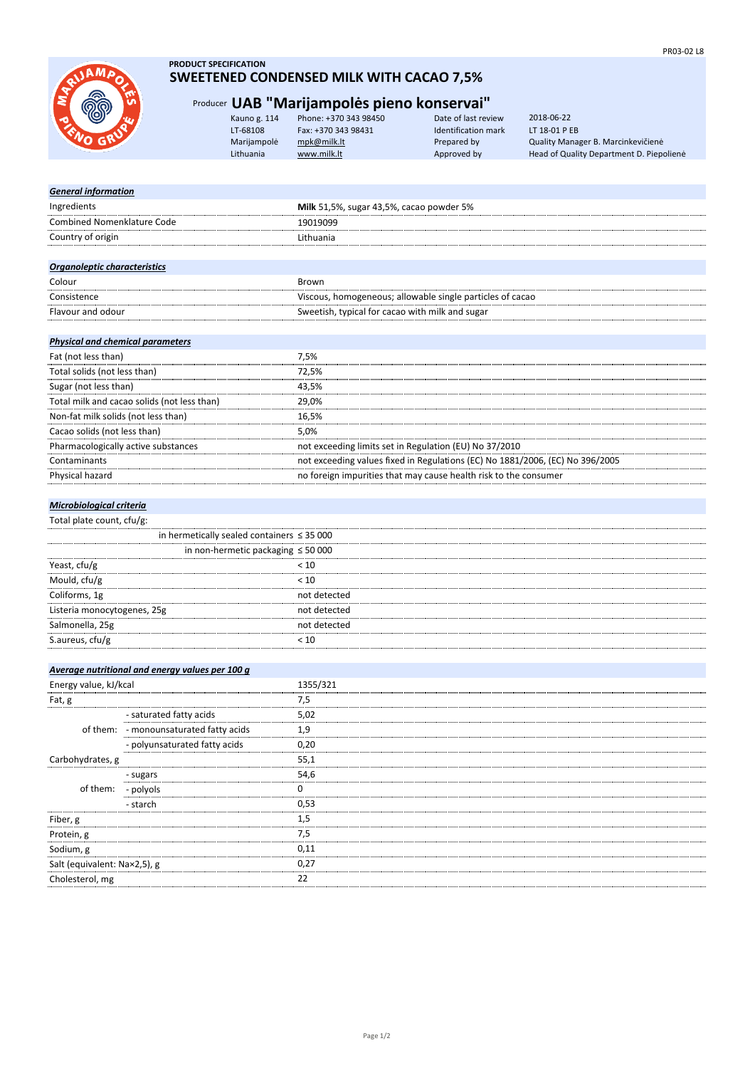

### **PRODUCT SPECIFICATION**

## **SWEETENED CONDENSED MILK WITH CACAO 7,5%**

## Producer **UAB "Marijampolės pieno konservai"**

| Kauno g. 114 | Phone: +370 343 98450 | Date of last review | 2018-06-22                               |
|--------------|-----------------------|---------------------|------------------------------------------|
| LT-68108     | Fax: +370 343 98431   | Identification mark | LT 18-01 P EB                            |
| Marijampolė  | mpk@milk.lt           | Prepared by         | Quality Manager B. Marcinkevičienė       |
| Lithuania    | www.milk.lt           | Approved by         | Head of Quality Department D. Piepoliene |
|              |                       |                     |                                          |

| Milk 51,5%, sugar 43,5%, cacao powder 5%                                      |
|-------------------------------------------------------------------------------|
| 19019099                                                                      |
| Lithuania                                                                     |
|                                                                               |
|                                                                               |
| Brown                                                                         |
| Viscous, homogeneous; allowable single particles of cacao                     |
| Sweetish, typical for cacao with milk and sugar                               |
|                                                                               |
|                                                                               |
| 7,5%                                                                          |
| 72,5%                                                                         |
| 43,5%                                                                         |
| 29,0%                                                                         |
| 16,5%                                                                         |
| 5,0%                                                                          |
| not exceeding limits set in Regulation (EU) No 37/2010                        |
| not exceeding values fixed in Regulations (EC) No 1881/2006, (EC) No 396/2005 |
| no foreign impurities that may cause health risk to the consumer              |
|                                                                               |

#### *Microbiological criteria*

Total plate count, cfu/g:

|                             | in hermetically sealed containers $\leq$ 35 000 |  |
|-----------------------------|-------------------------------------------------|--|
|                             | in non-hermetic packaging $\leq 50000$          |  |
| Yeast, cfu/g                |                                                 |  |
| Mould, cfu/g                | 10 >                                            |  |
| Coliforms, 1g               | not detected                                    |  |
| Listeria monocytogenes, 25g | not detected                                    |  |
| Salmonella, 25g             | not detected                                    |  |
| S.aureus, cfu/g             |                                                 |  |

|                              | Average nutritional and energy values per 100 g |          |
|------------------------------|-------------------------------------------------|----------|
| Energy value, kJ/kcal        |                                                 | 1355/321 |
| Fat, g                       |                                                 | 7,5      |
|                              | - saturated fatty acids                         | 5,02     |
|                              | of them: - monounsaturated fatty acids          | 1.9      |
|                              | - polyunsaturated fatty acids                   | 0.20     |
| Carbohydrates, g             |                                                 | 55.1     |
|                              | - sugars                                        | 54.6     |
| of them:                     | - polyols                                       |          |
|                              | - starch                                        | 0.53     |
| Fiber, g                     |                                                 | L.5      |
| Protein, g                   |                                                 | 7.5      |
| Sodium, g                    |                                                 | 0.11     |
| Salt (equivalent: Na×2,5), g |                                                 | 0.27     |
| Cholesterol, mg              |                                                 | 22       |